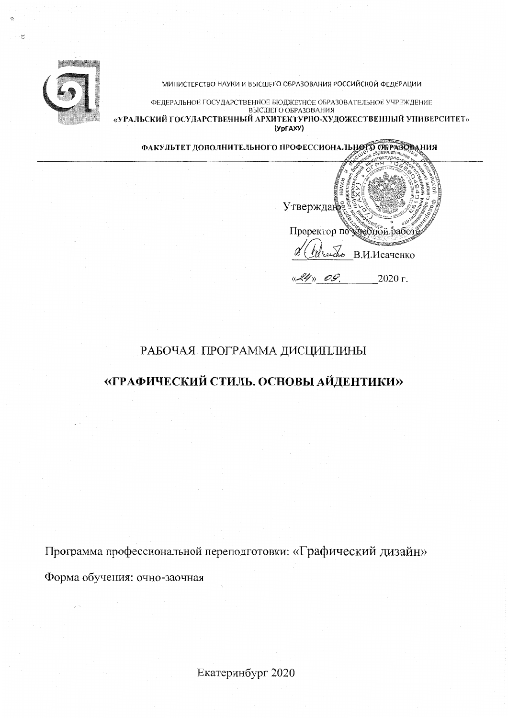

МИНИСТЕРСТВО НАУКИ И ВЫСШЕГО ОБРАЗОВАНИЯ РОССИЙСКОЙ ФЕДЕРАЦИИ

ФЕДЕРАЛЬНОЕ ГОСУДАРСТВЕННОЕ БЮДЖЕТНОЕ ОБРАЗОВАТЕЛЬНОЕ УЧРЕЖДЕНИЕ ВЫСШЕГО ОБРАЗОВАНИЯ «УРАЛЬСКИЙ ГОСУДАРСТВЕННЫЙ АРХИТЕКТУРНО-ХУДОЖЕСТВЕННЫЙ УНИВЕРСИТЕТ» (YpFAXY)

ФАКУЛЬТЕТ ДОПОЛНИТЕЛЬНОГО ПРОФЕССИОНАЛЬНОГО ОБРАЗОВАНИЯ

Утверждан Проректор по честной работ В.И.Исаченко OG. 2020 г.

# РАБОЧАЯ ПРОГРАММА ДИСЦИПЛИНЫ

# «ГРАФИЧЕСКИЙ СТИЛЬ. ОСНОВЫ АЙДЕНТИКИ»

Программа профессиональной переподготовки: «Графический дизайн»

Форма обучения: очно-заочная

Екатеринбург 2020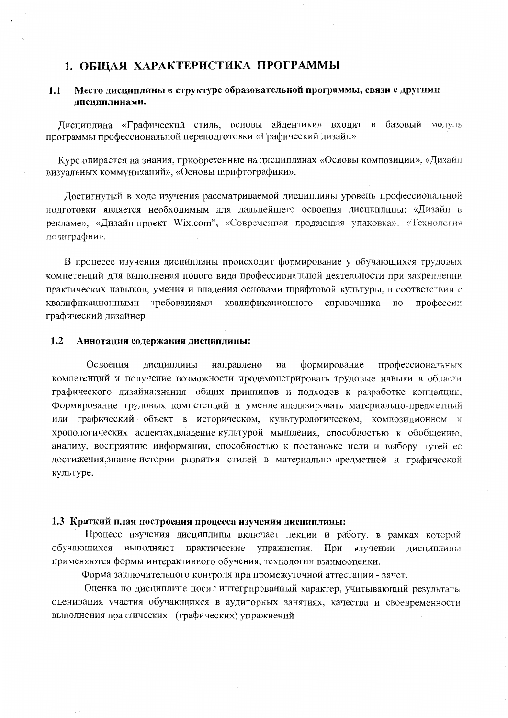# 1. ОБЩАЯ ХАРАКТЕРИСТИКА ПРОГРАММЫ

#### $1.1$ Место дисциплины в структуре образовательной программы, связи с другими лисниплинами.

Лисциплина «Графический стиль, основы айдентики» входит в базовый модуль программы профессиональной переподготовки «Графический дизайн»

Курс опирается на знания, приобретенные на дисциплинах «Основы композиции», «Дизайн визуальных коммуникаций», «Основы шрифтографики».

Достигнутый в ходе изучения рассматриваемой дисциплины уровень профессиональной подготовки является необходимым для дальнейшего освоения дисциплины: «Дизайн в рекламе», «Дизайн-проект Wix.com", «Современная продающая упаковка», «Технология полиграфии».

В процессе изучения дисциплины происходит формирование у обучающихся трудовых компетенций для выполнения нового вида профессиональной деятельности при закреплении практических навыков, умения и владения основами шрифтовой культуры, в соответствии с требованиями квалификационного справочника квалификационными  $\overline{10}$ профессии графический дизайнер

#### Аннотация содержания дисциплины:  $1.2$

Освоения дисциплины направлено на формирование профессиональных компетенций и получение возможности продемонстрировать трудовые навыки в области графического дизайна:знания общих принципов и подходов к разработке концепции, Формирование трудовых компетенций и умение анализировать материально-предметный или графический объект в историческом, культурологическом, композиционном и хронологических аспектах, владение культурой мышления, способностью к обобщению, анализу, восприятию информации, способностью к постановке цели и выбору путей ее достижения, знание истории развития стилей в материально-предметной и графической культуре.

### 1.3 Краткий план построения процесса изучения дисциплины:

Процесс изучения дисциплины включает лекции и работу, в рамках которой обучающихся выполняют практические упражнения. При изучении дисциплины применяются формы интерактивного обучения, технологии взаимооценки.

Форма заключительного контроля при промежуточной аттестации - зачет.

Оценка по дисциплине носит интегрированный характер, учитывающий результаты оценивания участия обучающихся в аудиторных занятиях, качества и своевременности выполнения практических (графических) упражнений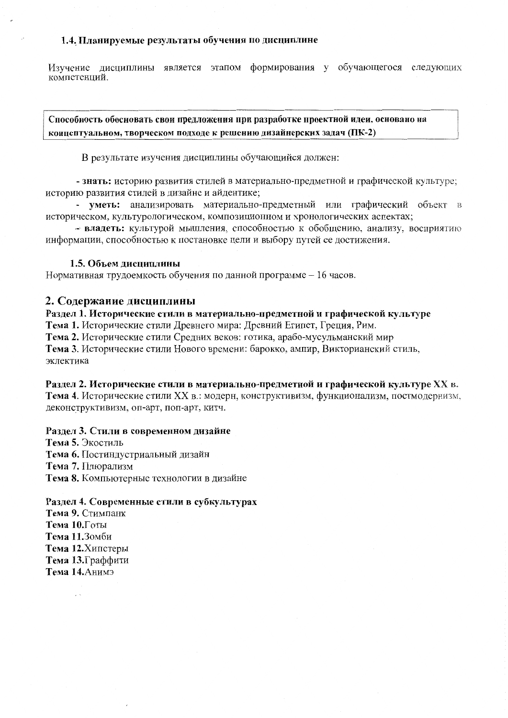## 1.4. Планируемые результаты обучения по дисциплине

Изучение лиспиплины является этапом формирования у обучающегося следующих компетенций.

Способность обосновать свои предложения при разработке проектной идеи, основано на концептуальном, творческом подходе к решению дизайнерских задач (ПК-2)

В результате изучения дисциплины обучающийся должен:

- знать: историю развития стилей в материально-предметной и графической культуре; историю развития стилей в дизайне и айдентике;

- уметь: анализировать материально-предметный или графический объект в историческом, культурологическом, композиционном и хронологических аспектах;

- владеть: культурой мышления, способностью к обобщению, анализу, восприятию информации, способностью к постановке цели и выбору путей ее достижения.

### 1.5. Объем дисциплины

Нормативная трудоемкость обучения по данной программе - 16 часов.

# 2. Содержание дисциплины

Раздел 1. Исторические стили в материально-предметной и графической культуре Тема 1. Исторические стили Древнего мира: Древний Египет, Греция, Рим. Тема 2. Исторические стили Средних веков: готика, арабо-мусульманский мир Тема 3. Исторические стили Нового времени: барокко, ампир, Викторианский стиль, эклектика

## Раздел 2. Исторические стили в материально-предметной и графической культуре XX в.

Тема 4. Исторические стили XX в.: модерн, конструктивизм, функционализм, постмодернизм, деконструктивизм, оп-арт, поп-арт, китч.

### Раздел 3. Стили в современном дизайне

Тема 5. Экостиль Тема 6. Постиндустриальный дизайн Тема 7. Плюрализм Тема 8. Компьютерные технологии в дизайне

### Раздел 4. Современные стили в субкультурах

Тема 9. Стимпанк Тема 10. Готы Тема 11.3омби Тема 12. Хипстеры Тема 13. Граффити Тема 14. Анимэ

 $\sim$   $\sim$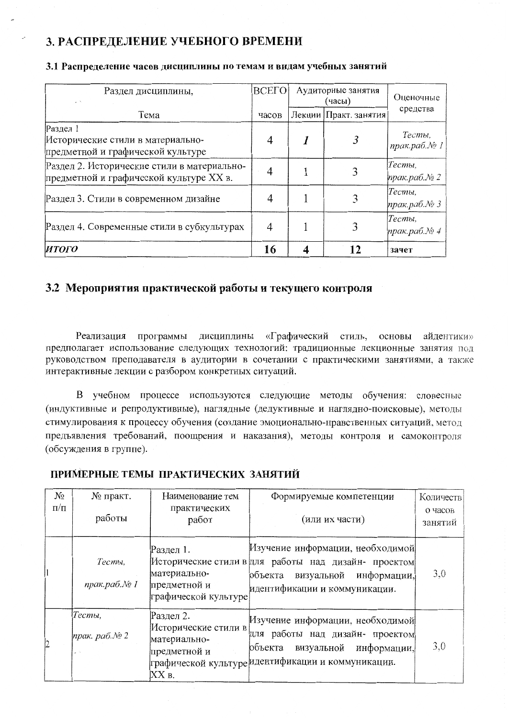# 3. РАСПРЕДЕЛЕНИЕ УЧЕБНОГО ВРЕМЕНИ

| Раздел дисциплины,<br>$\sim$                                                           | ВСЕГО | Аудиторные занятия<br>(часы) |                       | Оценочные                   |
|----------------------------------------------------------------------------------------|-------|------------------------------|-----------------------|-----------------------------|
| Тема                                                                                   | часов |                              | Лекции Практ. занятия | средства                    |
| Раздел 1<br>Исторические стили в материально-<br>предметной и графической культуре     | 4     |                              |                       | Тесты,<br>прак.раб.№ 1      |
| Раздел 2. Исторические стили в материально-<br>предметной и графической культуре XX в. |       |                              |                       | Тесты,<br>прак.раб. $N_2$ 2 |
| Раздел 3. Стили в современном дизайне                                                  |       |                              |                       | Тесты,<br>прак.раб.№ 3      |
| Раздел 4. Современные стили в субкультурах                                             | 4     |                              |                       | Тесты,<br>прак.раб.№4       |
| ИТОГО                                                                                  | 16    |                              | 12                    | зачет                       |

## 3.1 Распределение часов дисциплины по темам и видам учебных занятий

# 3.2 Мероприятия практической работы и текущего контроля

Реализация программы дисциплины «Графический стиль, основы айдентики» предполагает использование следующих технологий: традиционные лекционные занятия под руководством преподавателя в аудитории в сочетании с практическими занятиями, а также интерактивные лекции с разбором конкретных ситуаций.

В учебном процессе используются следующие методы обучения: словесные (индуктивные и репродуктивные), наглядные (дедуктивные и наглядно-поисковые), методы стимулирования к процессу обучения (создание эмоционально-нравственных ситуаций, метод предъявления требований, поощрения и наказания), методы контроля и самоконтроля (обсуждения в группе).

| $N_2$<br>$\Pi/\Pi$ | № практ.<br>работы           | Наименование тем<br>практических<br>работ                                  | Формируемые компетенции<br>(или их части)                                                                                                                      | Количеств<br>о часов<br>занятий |
|--------------------|------------------------------|----------------------------------------------------------------------------|----------------------------------------------------------------------------------------------------------------------------------------------------------------|---------------------------------|
|                    | Тесты,<br>прак.раб.№1        | Раздел 1.<br>материально-<br>предметной и<br>графической культуре          | Изучение информации, необходимой<br>Исторические стили в для работы над дизайн- проектом<br>объекта<br>визуальной информации,<br>идентификации и коммуникации. | 3,0                             |
| 12                 | Тесты,<br>прак. раб. $N_2$ 2 | Раздел 2.<br>Исторические стили в<br>материально-<br>предметной и<br>XX в. | Изучение информации, необходимой<br>для работы над дизайн- проектом<br>визуальной информации,<br>объекта<br>графической культуре идентификации и коммуникации. | 3,0                             |

ПРИМЕРНЫЕ ТЕМЫ ПРАКТИЧЕСКИХ ЗАНЯТИЙ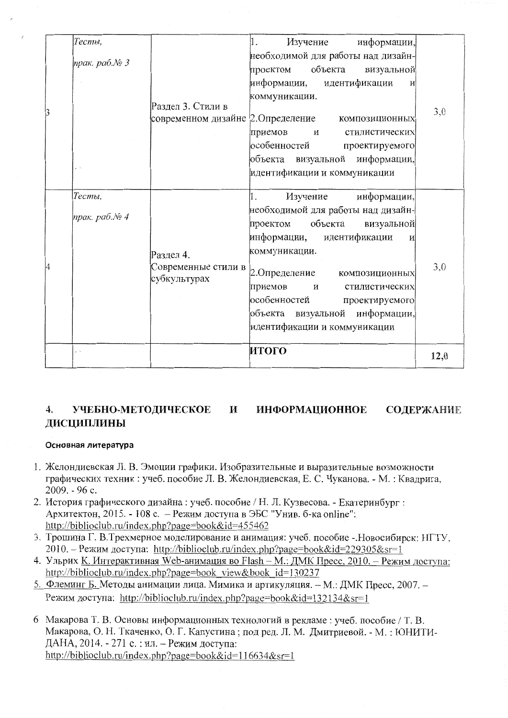|  | Тесты,        |                                                  | Изучение<br>информации,<br>1.             |      |  |
|--|---------------|--------------------------------------------------|-------------------------------------------|------|--|
|  |               |                                                  | необходимой для работы над дизайн-        |      |  |
|  | прак. раб.№ 3 |                                                  | объекта<br>визуальной<br>проектом         |      |  |
|  |               | Раздел 3. Стили в<br>современном дизайне         | информации, идентификации<br>И            |      |  |
|  |               |                                                  | коммуникации.                             | 3,0  |  |
|  |               |                                                  | 2. Определение композиционных             |      |  |
|  |               |                                                  | приемов<br>стилистических<br>И            |      |  |
|  |               |                                                  | особенностей<br>проектируемого            |      |  |
|  |               |                                                  | объекта визуальной информации,            |      |  |
|  |               |                                                  | идентификации и коммуникации              |      |  |
|  |               |                                                  |                                           |      |  |
|  | Тесты,        |                                                  | Изучение<br>информации,<br>1.             |      |  |
|  | прак. раб.№ 4 |                                                  | необходимой для работы над дизайн-        |      |  |
|  |               | Раздел 4.<br>Современные стили в<br>субкультурах | объекта<br>проектом<br>визуальной         |      |  |
|  |               |                                                  | информации, идентификации<br>И            |      |  |
|  |               |                                                  | коммуникации.                             |      |  |
|  |               |                                                  | 2. Определение композиционных             | 3,0  |  |
|  |               |                                                  | приемов<br>$\mathbf{M}$<br>стилистических |      |  |
|  |               | особенностей<br>проектируемого                   |                                           |      |  |
|  |               | объекта визуальной информации,                   |                                           |      |  |
|  |               |                                                  | идентификации и коммуникации              |      |  |
|  | e n           |                                                  | итого                                     |      |  |
|  |               |                                                  |                                           | 12,0 |  |

#### УЧЕБНО-МЕТОДИЧЕСКОЕ И **ИНФОРМАЦИОННОЕ СОДЕРЖАНИЕ** 4. **ЛИСЦИПЛИНЫ**

# Основная литература

- 1. Желондиевская Л. В. Эмоции графики. Изобразительные и выразительные возможности графических техник: учеб. пособие Л. В. Желондиевская, Е. С. Чуканова. - М.: Квадрига,  $2009. - 96$  c.
- 2. История графического дизайна: учеб. пособие / Н. Л. Кузвесова. Екатеринбург: Архитектон, 2015. - 108 с. - Режим доступа в ЭБС "Унив. б-ка online": http://biblioclub.ru/index.php?page=book&id=455462
- 3. Трошина Г. В. Трехмерное моделирование и анимация: учеб. пособие Новосибирск: НГТУ, 2010. – Режим доступа: http://biblioclub.ru/index.php?page=book&id=229305&sr=1
- 4. Ульрих К. Интерактивная Web-анимация во Flash М.: ДМК Пресс, 2010. Режим доступа: http://biblioclub.ru/index.php?page=book view&book id=130237
- 5. Флеминг Б. Методы анимации лица. Мимика и артикуляция. М.: ДМК Пресс, 2007. -Режим доступа: http://biblioclub.ru/index.php?page=book&id=132134&sr=1
- 6 Макарова Т. В. Основы информационных технологий в рекламе: учеб. пособие / Т. В. Макарова, О. Н. Ткаченко, О. Г. Капустина; под ред. Л. М. Дмитриевой. - М.: ЮНИТИ-ДАНА, 2014. - 271 с. : ил. - Режим доступа: http://biblioclub.ru/index.php?page=book&id=116634&sr=1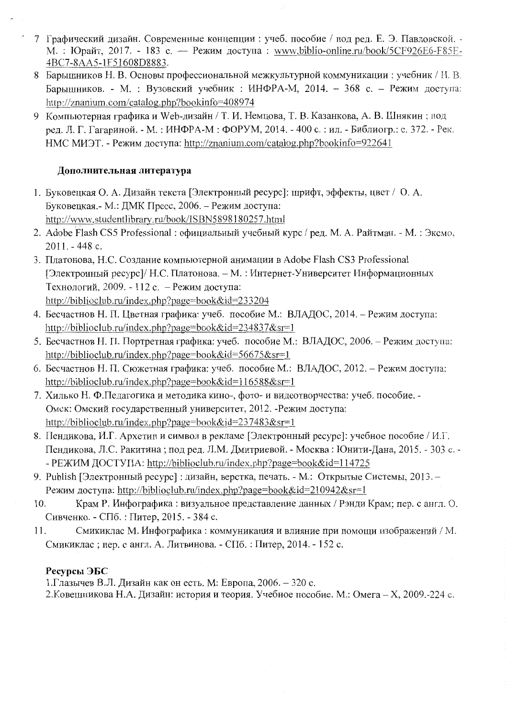- 7 Графический дизайн. Современные концепции: учеб. пособие / под ред. Е. Э. Павловской. -М.: Юрайт, 2017. - 183 с. — Режим доступа: www.biblio-online.ru/book/5CF926E6-F85E-4BC7-8AA5-1F51608D8883.
- 8 Барышников Н. В. Основы профессиональной межкультурной коммуникации: учебник / Н. В. Барышников. - М. : Вузовский учебник : ИНФРА-М, 2014. - 368 с. - Режим доступа: http://znanium.com/catalog.php?bookinfo=408974
- 9 Компьютерная графика и Web-дизайн / Т. И. Немцова, Т. В. Казанкова, А. В. Шнякин; под рел. Л. Г. Гагариной. - М.: ИНФРА-М: ФОРУМ, 2014. - 400 с.: ил. - Библиогр.: с. 372. - Рек. HMC MИЭТ. - Режим доступа: http://znanium.com/catalog.php?bookinfo=922641

# Дополнительная литература

- 1. Буковецкая О. А. Дизайн текста [Электронный ресурс]: шрифт, эффекты, цвет / О. А. Буковецкая.- М.: ДМК Пресс, 2006. - Режим доступа: http://www.studentlibrary.ru/book/ISBN5898180257.html
- 2. Adobe Flash CS5 Professional: официальный учебный курс / рел. М. А. Райтман. М.: Эксмо. 2011. - 448 с.
- 3. Платонова, Н.С. Создание компьютерной анимации в Adobe Flash CS3 Professional [Электронный ресурс]/ Н.С. Платонова. - М.: Интернет-Университет Информационных Технологий, 2009. - 112 с. - Режим доступа: http://biblioclub.ru/index.php?page=book&id=233204
- 4. Бесчастнов Н. П. Цветная графика: учеб. пособие М.: ВЛАДОС, 2014. Режим доступа: http://biblioclub.ru/index.php?page=book&id=234837&sr=1
- 5. Бесчастнов Н. П. Портретная графика: учеб. пособие М.: ВЛАДОС, 2006. Режим доступа: http://biblioclub.ru/index.php?page=book&id=56675&sr=1
- 6. Бесчастнов Н. П. Сюжетная графика: учеб. пособие М.: ВЛАДОС, 2012. Режим доступа: http://biblioclub.ru/index.php?page=book&id=116588&sr=1
- 7. Хилько Н. Ф.Педагогика и методика кино-, фото- и видеотворчества: учеб. пособие. -Омск: Омский государственный университет, 2012. - Режим доступа: http://biblioclub.ru/index.php?page=book&id=237483&sr=1
- 8. Пендикова, И.Г. Архетип и символ в рекламе [Электронный ресурс]: учебное пособие / И.Г. Пендикова, Л.С. Ракитина; под ред. Л.М. Дмитриевой. - Москва: Юнити-Дана, 2015. - 303 с. -- РЕЖИМ ДОСТУПА: http://biblioclub.ru/index.php?page=book&id=114725
- 9. Publish [Электронный ресурс]: дизайн, верстка, печать. М.: Открытые Системы, 2013. -Режим доступа: http://biblioclub.ru/index.php?page=book&id=210942&sr=1
- Крам Р. Инфографика: визуальное представление данных / Рэнди Крам; пер. с англ. О. 10. Сивченко. - СПб. : Питер, 2015. - 384 с.
- Смикиклас М. Инфографика: коммуникация и влияние при помощи изображений / М. 11. Смикиклас; пер. с англ. А. Литвинова. - СПб.: Питер, 2014. - 152 с.

# Ресурсы ЭБС

1. Глазычев В.Л. Дизайн как он есть. М: Европа, 2006. - 320 с.

2. Ковешникова Н.А. Дизайн: история и теория. Учебное пособие. М.: Омега - Х, 2009.-224 с.